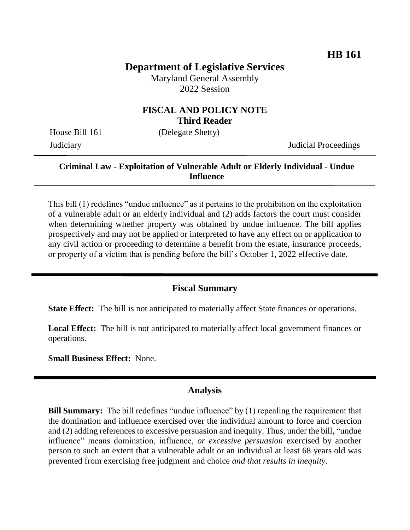# **Department of Legislative Services**

Maryland General Assembly 2022 Session

## **FISCAL AND POLICY NOTE Third Reader**

House Bill 161 (Delegate Shetty)

Judiciary Judicial Proceedings

## **Criminal Law - Exploitation of Vulnerable Adult or Elderly Individual - Undue Influence**

This bill (1) redefines "undue influence" as it pertains to the prohibition on the exploitation of a vulnerable adult or an elderly individual and (2) adds factors the court must consider when determining whether property was obtained by undue influence. The bill applies prospectively and may not be applied or interpreted to have any effect on or application to any civil action or proceeding to determine a benefit from the estate, insurance proceeds, or property of a victim that is pending before the bill's October 1, 2022 effective date.

## **Fiscal Summary**

**State Effect:** The bill is not anticipated to materially affect State finances or operations.

**Local Effect:** The bill is not anticipated to materially affect local government finances or operations.

**Small Business Effect:** None.

#### **Analysis**

**Bill Summary:** The bill redefines "undue influence" by (1) repealing the requirement that the domination and influence exercised over the individual amount to force and coercion and (2) adding references to excessive persuasion and inequity. Thus, under the bill, "undue influence" means domination, influence, *or excessive persuasion* exercised by another person to such an extent that a vulnerable adult or an individual at least 68 years old was prevented from exercising free judgment and choice *and that results in inequity*.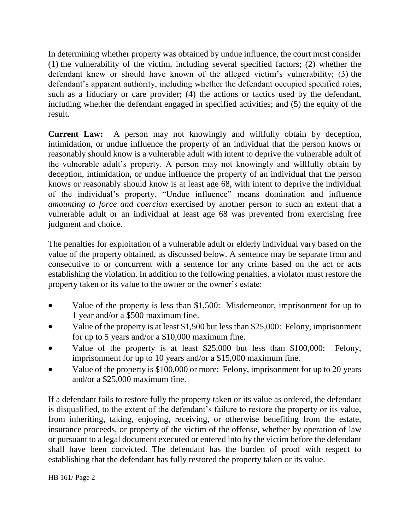In determining whether property was obtained by undue influence, the court must consider (1) the vulnerability of the victim, including several specified factors; (2) whether the defendant knew or should have known of the alleged victim's vulnerability; (3) the defendant's apparent authority, including whether the defendant occupied specified roles, such as a fiduciary or care provider; (4) the actions or tactics used by the defendant, including whether the defendant engaged in specified activities; and (5) the equity of the result.

**Current Law:** A person may not knowingly and willfully obtain by deception, intimidation, or undue influence the property of an individual that the person knows or reasonably should know is a vulnerable adult with intent to deprive the vulnerable adult of the vulnerable adult's property. A person may not knowingly and willfully obtain by deception, intimidation, or undue influence the property of an individual that the person knows or reasonably should know is at least age 68, with intent to deprive the individual of the individual's property. "Undue influence" means domination and influence *amounting to force and coercion* exercised by another person to such an extent that a vulnerable adult or an individual at least age 68 was prevented from exercising free judgment and choice.

The penalties for exploitation of a vulnerable adult or elderly individual vary based on the value of the property obtained, as discussed below. A sentence may be separate from and consecutive to or concurrent with a sentence for any crime based on the act or acts establishing the violation. In addition to the following penalties, a violator must restore the property taken or its value to the owner or the owner's estate:

- Value of the property is less than \$1,500: Misdemeanor, imprisonment for up to 1 year and/or a \$500 maximum fine.
- Value of the property is at least \$1,500 but less than \$25,000: Felony, imprisonment for up to 5 years and/or a \$10,000 maximum fine.
- Value of the property is at least \$25,000 but less than \$100,000: Felony, imprisonment for up to 10 years and/or a \$15,000 maximum fine.
- Value of the property is \$100,000 or more: Felony, imprisonment for up to 20 years and/or a \$25,000 maximum fine.

If a defendant fails to restore fully the property taken or its value as ordered, the defendant is disqualified, to the extent of the defendant's failure to restore the property or its value, from inheriting, taking, enjoying, receiving, or otherwise benefiting from the estate, insurance proceeds, or property of the victim of the offense, whether by operation of law or pursuant to a legal document executed or entered into by the victim before the defendant shall have been convicted. The defendant has the burden of proof with respect to establishing that the defendant has fully restored the property taken or its value.